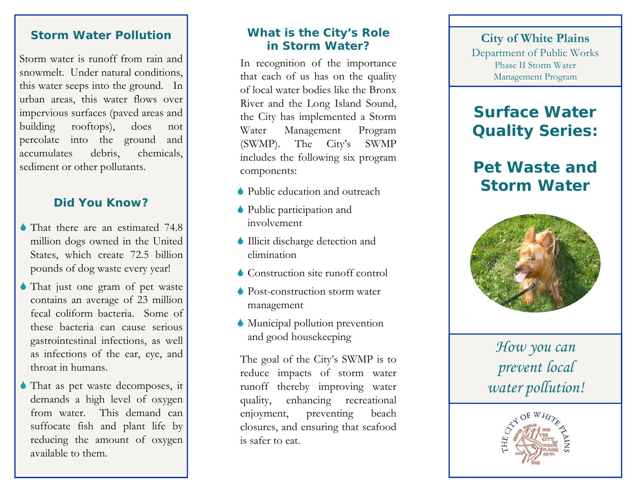### **Storm Water Pollution**

Storm water is runoff from rain and snowmelt. Under natural conditions, this water seeps into the ground. In urban areas, this water flows over impervious surfaces (paved areas and building rooftops), does not percolate into the ground and accumulates debris, chemicals, sediment or other pollutants.

### **Did You Know?**

- That there are an estimated 74.8 million dogs owned in the United States, which create 72.5 billion pounds of dog waste every year!
- 6 That just one gram of pet waste contains an average of 23 million fecal coliform bacteria. Some of these bacteria can cause serious gastrointestinal infections, as well as infections of the ear, eye, and throat in humans.
- 6 That as pet waste decomposes, it demands a high level of oxygen from water. This demand cansuffocate fish and plant life by reducing the amount of oxygen available to them.

#### **What is the City's Role in Storm Water?**

In recognition of the importance that each of us has on the quality of local water bodies like the Bronx River and the Long Island Sound, the City has implemented a Storm Water Management Program (SWMP). The City's SWMP includes the following six program components:

- 6 Public education and outreach
- 6 Public participation and involvement
- 6 Illicit discharge detection and elimination
- 6 Construction site runoff control
- 6 Post-construction storm water management
- 6 Municipal pollution prevention and good housekeeping

The goal of the City's SWMP is to reduce impacts of storm water runoff thereby improving water quality, enhancing recreational enjoyment, preventing beach closures, and ensuring that seafood is safer to eat.

#### **City of White Plains** Department of Public Works Phase II Storm Water Management Program

## **Surface Water Quality Series:**

# **Pet Waste and Storm Water**



*How you can prevent local water pollution!*